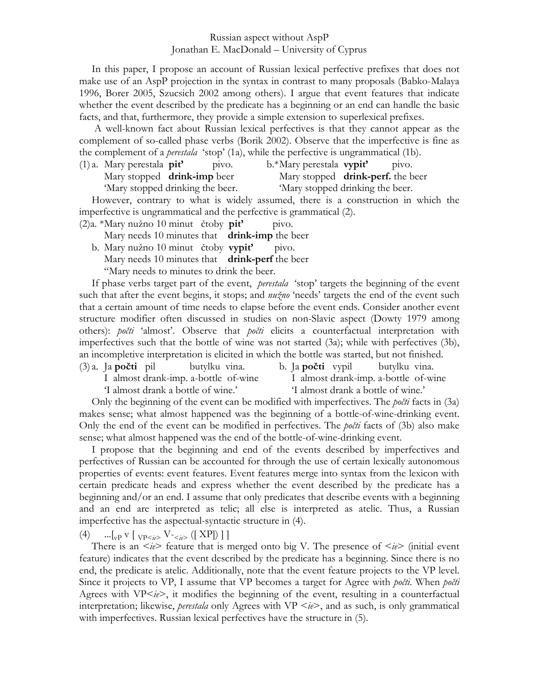## Russian aspect without AspP Jonathan E. MacDonald – University of Cyprus

 In this paper, I propose an account of Russian lexical perfective prefixes that does not make use of an AspP projection in the syntax in contrast to many proposals (Babko-Malaya 1996, Borer 2005, Szucsich 2002 among others). I argue that event features that indicate whether the event described by the predicate has a beginning or an end can handle the basic facts, and that, furthermore, they provide a simple extension to superlexical prefixes.

 A well-known fact about Russian lexical perfectives is that they cannot appear as the complement of so-called phase verbs (Borik 2002). Observe that the imperfective is fine as the complement of a *perestala* 'stop' (1a), while the perfective is ungrammatical (1b).

(1) a. Mary perestala **pit'** pivo. b.\* Mary perestala **vypit'** pivo. Mary stopped **drink-imp** beer Mary stopped **drink-perf.** the beer 'Mary stopped drinking the beer. 'Mary stopped drinking the beer.

 However, contrary to what is widely assumed, there is a construction in which the imperfective is ungrammatical and the perfective is grammatical (2).

(2)a. \* Mary nužno 10 minut čtoby **pit'** pivo.

Mary needs 10 minutes that **drink-imp** the beer

 b. Mary nužno 10 minut čtoby **vypit'** pivo. Mary needs 10 minutes that **drink-perf** the beer "Mary needs to minutes to drink the beer.

 If phase verbs target part of the event, *perestala* 'stop' targets the beginning of the event such that after the event begins, it stops; and *nužno* 'needs' targets the end of the event such that a certain amount of time needs to elapse before the event ends. Consider another event structure modifier often discussed in studies on non-Slavic aspect (Dowty 1979 among others): *počti* 'almost'. Observe that *počti* elicits a counterfactual interpretation with imperfectives such that the bottle of wine was not started (3a); while with perfectives (3b), an incompletive interpretation is elicited in which the bottle was started, but not finished.

- (3) a. Ja **počti** pil butylku vina. b. Ja **počti** vypil butylku vina.
	- I almost drank-imp. a-bottle of-wine I almost drank-imp. a-bottle of-wine

'I almost drank a bottle of wine.' 'I almost drank a bottle of wine.'

 Only the beginning of the event can be modified with imperfectives. The *počti* facts in (3a) makes sense; what almost happened was the beginning of a bottle-of-wine-drinking event. Only the end of the event can be modified in perfectives. The *počti* facts of (3b) also make sense; what almost happened was the end of the bottle-of-wine-drinking event.

 I propose that the beginning and end of the events described by imperfectives and perfectives of Russian can be accounted for through the use of certain lexically autonomous properties of events: event features. Event features merge into syntax from the lexicon with certain predicate heads and express whether the event described by the predicate has a beginning and/or an end. I assume that only predicates that describe events with a beginning and an end are interpreted as telic; all else is interpreted as atelic. Thus, a Russian imperfective has the aspectual-syntactic structure in (4).

(4)  $\ldots$   $\lbrack_{\text{vP}} \text{v} \rbrack \lbrack_{\text{VP*e*>} \text{V} \rbrack \lbrack_{\text{e}} \text{V} \rbrack \rbrack$ 

There is an  $\langle ie \rangle$  feature that is merged onto big V. The presence of  $\langle ie \rangle$  (initial event feature) indicates that the event described by the predicate has a beginning. Since there is no end, the predicate is atelic. Additionally, note that the event feature projects to the VP level. Since it projects to VP, I assume that VP becomes a target for Agree with *počti*. When *počti* Agrees with VP<*ie*>, it modifies the beginning of the event, resulting in a counterfactual interpretation; likewise, *perestala* only Agrees with VP <*ie*>, and as such, is only grammatical with imperfectives. Russian lexical perfectives have the structure in (5).